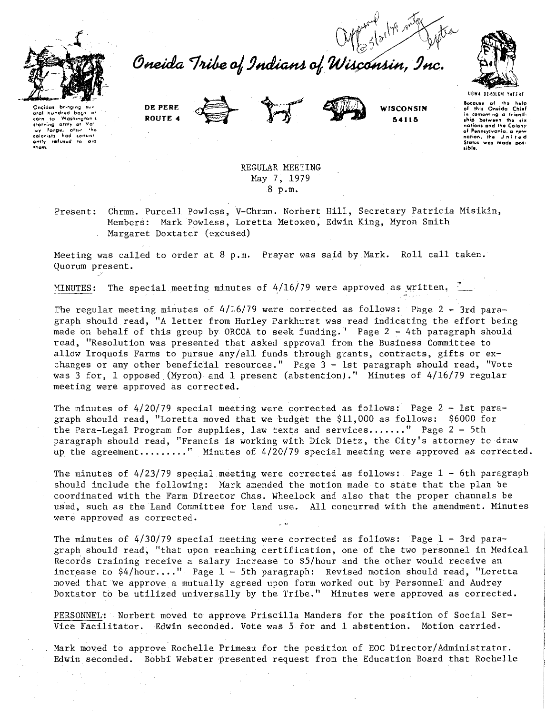



Oneida Tribe of Indians of Wisconsin, Inc.







**UGWA BEHOLUN YATENE kcavso of tho holp of thh** On~o~ido **Chid in cemunt·i,g a fti•nd· 1hip between the six**<br>nations and the Colony

**nations and the Colony**<br>**of Ponnsylvania**, a new<br>nation, the United<br>States was made pos-

**libl •.** 

**Oneidas** grat hundred bag<sup>.</sup><br>corn to Washingt washington<br>army at Ya **UQrving army at Ita' lwy and the results**<br>**hists** had consist **coloni111 had <O"''" ently ••fv, .. d to ood them** 

> REGULAR MEETING May 7, 1979 8 p.m.

Present: Chrmn. Purcell Powless, V-Chrmn. Norbert Hill, Secretary Patricia Misikin, Members: Mark Powless, Loretta Metoxen, Edwin King, Myron Smith Margaret Doxtater (excused)

Meeting was called to order at 8 p.m. Prayer was said by Mark. Roll call taken. Quorum present.

MINUTES: The special meeting minutes of  $4/16/79$  were approved as written.

The regular meeting minutes of  $4/16/79$  were corrected as follows: Page 2 - 3rd paragraph should read, "A letter from Hurley Parkhurst was read indicating the effort being made on behalf of this group by ORCOA to seek funding." Page 2 -4th paragraph should read, "Resolution was presented that asked approval from the Business Committee to allow Iroquois Farms to pursue any/all funds through grants, contracts, gifts or exchanges or any other beneficial resources." Page 3-1st paragraph should read, "Vote was 3 for, 1 opposed (Myron) and 1 present (abstention)." Minutes of 4/16/79 regular **meeting were approved as corrected.** 

The minutes of 4/20/79 special meeting were corrected as follows: Page 2 - 1st paragraph should read, "Loretta moved that we budget the \$11,000 as follows: \$6000 for the Para-Legal Program for supplies, law texts and services......." Page  $2 - 5th$ paragraph should read, "Francis is working with Dick Dietz, the City's attorney to draw up the agreement........." Minutes of 4/20/79 special meeting were approved as corrected.

The minutes of 4/23/79 special meeting were corrected as follows: Page 1 - 6th paragraph should include the following: Mark amended the motion made to state that the plan be coordinated with the Farm Director Chas. Wheelock and also that the proper channels be used, such as the Land Committee for land use. All concurred with the amendment. Minutes were approved as corrected.

The minutes of 4/30/79 special meeting were corrected as follows: Page 1 - 3rd paragraph should read, "that upon reaching certification, one of the two personnel in Medical Records training receive a salary increase to \$5/hour and the other would receive an increase to  $$4/hour...$  Page  $1 - 5th$  paragraph: Revised motion should read, "Loretta moved that we approve a mutually agreed upon form worked out by Personnel and Audrey Doxtator to be utilized universally by the Tribe." Minutes were approved as corrected.

PERSONNEL: Norbert moved to approve Priscilla Manders for the position of Social Ser-Vice Facilitator. Edwin seconded. Vote was 5 for and l abstention. Motion carried.

Mark moved to approve Rochelle Primeau for the position of EOC Director/Administrator. Edwin seconded. Bobbi Webster presented request from the Education Board that Rochelle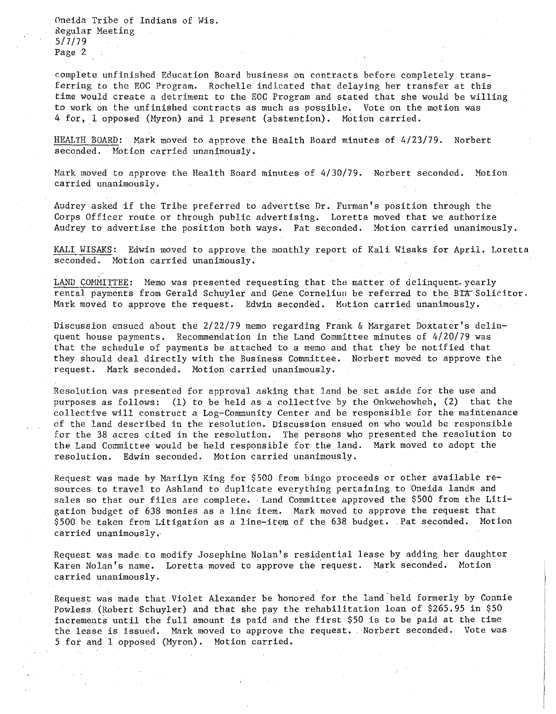Oneida Tribe of Indians of Wis. Kegular Meeting 5/7/79 Page 2

complete unfinished Education Board business on contracts before completely transferring to the EOC Program. Rochelle indicated that delaying her transfer at this time would create a detriment to the EOC Program and stated that she would be willing to work on the unfinished contracts as much as possible. Vote on the motion was 4 for, 1 opposed (Myron) and 1 present (abstention). Motion carried.

HEALTH BOARD: Mark moved to approve the Health Board minutes of 4/23/79. Norbert seconded. Motion carried unanimously.

Mark moved to approve the Health Board minutes of 4/30/79. Norbert seconded. Motion **carried unanimously.** 

Audrey asked if the Tribe preferred to advertise Dr. Furman's position through the Corps Officer route or through public advertising. Loretta moved that we authorize Audrey to advertise the position both ways. Pat seconded. Motion carried unanimously.

KALI WISAKS: Edwin moved to approve the monthly report of Kali Wisaks for April. Loretta seconded. Motion carried unanimously.

LAND COMMITTEE: Memo was presented requesting that the matter of delinquent, yearly rental payments from Gerald Schuyler and Gene Cornelius be referred to the BTA Solicitor. Mark moved to approve the request. Edwin seconded. Motion carried unanimously.

Discussion ensued about the 2/22/79 memo regarding Frank & Margaret Doxtater's delinquent house payments. Recommendation in the Land Committee minutes of 4/20/79 was that the schedule of payments be attached to a memo and that they be notified that they should deal directly with the Business Committee. Norbert moved to approve the request. Mark seconded. Motion carried unanimously.

Resolution was presented for approval asking that land be set aside for the use and purposes as follows: (1) to be held as a collective by the Onkwehowheh, (2) that the collective will construct a Log-Community Center and be responsible for the maintenance of the land described in the resolution. Discussion ensued on who would be responsible for the 38 acres cited in the resolution. The persons who presented the resolution to the Land Committee would be held responsible for the land. Mark moved to adopt the resolution. Edwin seconded. Motion carried unanimously.

Request was made by Marilyn King for \$500 from bingo proceeds or other available resources to travel to Ashland to duplicate everything pertaining to Oneida lands and sales so that our files are complete. Land Committee approved the \$500 from the Litigation budget of 638 monies as a line item. Mark moved to approve the request that \$500 be taken from Litigation as a line-item of the 638 budget. Pat seconded. Motion **carried unanimously ..** 

Request was made to modify Josephine Nolan's residential lease by adding her daughter Karen Nolan's name. Loretta moved to approve the request. Mark seconded. Motion carried unanimously.

Request was made that Violet Alexander be honored for the land held formerly by Connie Powless (Robert Schuyler) and that she pay the rehabilitation loan of \$265.95 in \$50 increments until the full amount is paid and the first \$50 is to be paid at the time the lease is issued. Mark moved to approve the request. Norbert seconded. Vote was 5 for and 1 opposed (Myron). Motion carried.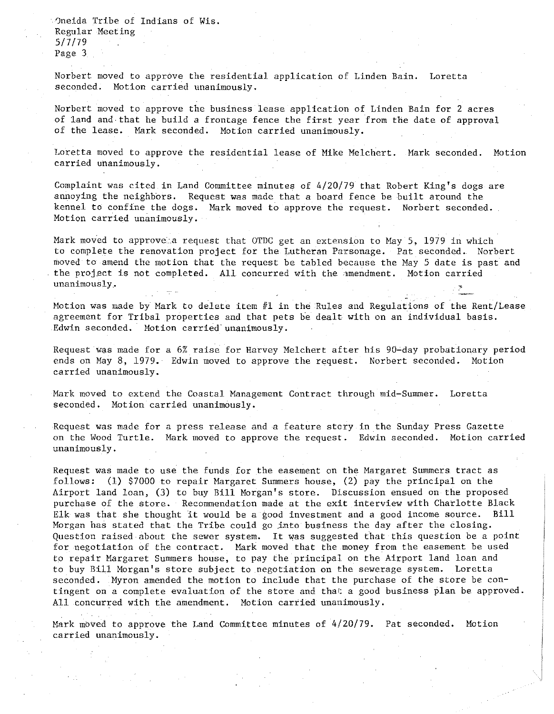0neida Tribe of Indians of Wis. Regular Meeting 5/7/79 Page 3

Norbert moved to approve the residential application of Linden Bain. Loretta seconded. Motion carried unanimously.

Norbert moved to approve the business lease application of Linden Bain for 2 acres of land and.that he build a frontage fence the first year from the date of approval of the lease. Mark seconded. Motion carried unanimously.

Loretta moved to approve the residential lease of Mike Melchert. Mark seconded. Motion carried unanimously.

Complaint was cited in Land Committee minutes of 4/20/79 that Robert King's dogs are annoying the neighbors. Request was made that a board fence be built around the kennel to confine the dogs. Mark moved to approve the request. Norbert seconded. **Motion carried unanimously.** 

Mark moved to approvela request that OTDC get an extension to May 5, 1979 in which to complete the renovation project for the Lutheran Parsonage. Pat seconded. Norbert moved to amend the motion that the request be tabled because the May 5 date is past and the project is not completed. All concurred with the amendment. Motion carried **unanimously ..** 

Motion was made by Mark to delete item  $#1$  in the Rules and Regulations of the Rent/Lease agreement for Tribal properties and that pets he dealt with on an individual basis. Edwin seconded. Motion carried unanimously.

Request was made for a 6% raise for Harvey Melchert after his 90-day probationary period ends on May 8, 1979. Edwin moved to approve the request. Norbert seconded. Motion **carried unanimously.** 

Mark moved to extend the Coastal Management Contract through mid-Summer. Loretta seconded. Motion carried unanimously.

Request was made for a press release and a feature stcry in the Sunday Press Gazette on the Wood Turtle. Mark moved to approve the request. Edwin seconded. Motion carried unanimously.

Request was made to use the funds for the easement on the Margaret Summers tract as follows: (1) \$7000 to repair Margaret Summers house, (2) pay the principal on the Airport land loan, (3) to buy Bill Morgan's store. Discussion ensued on the proposed purchase of the store. Recommendation made at the exit interview with Charlotte Black Elk was that she thought it would be a good investment and a good income source. Bill Morgan has stated that the Tribe could go jnto business the day after the closing. Question raised about the sewer system. It was suggested that this question be a point for negotiation of the contract. Mark moved that the money from the easement be used to repair Margaret Summers house, to pay the principal on the Airport land loan and to buy Bill Morgan's store subject to negotiation on the sewerage system. Loretta seconded. Myron amended the motion to include that the purchase of the store be contingent on a complete evaluation of the store and that a good business plan be approved. All concurred with the amendment. Motion carried unanimously.

Mark moved to approve the Land Committee minutes of 4/20/79. Pat seconded. Motion **carried unanimously.**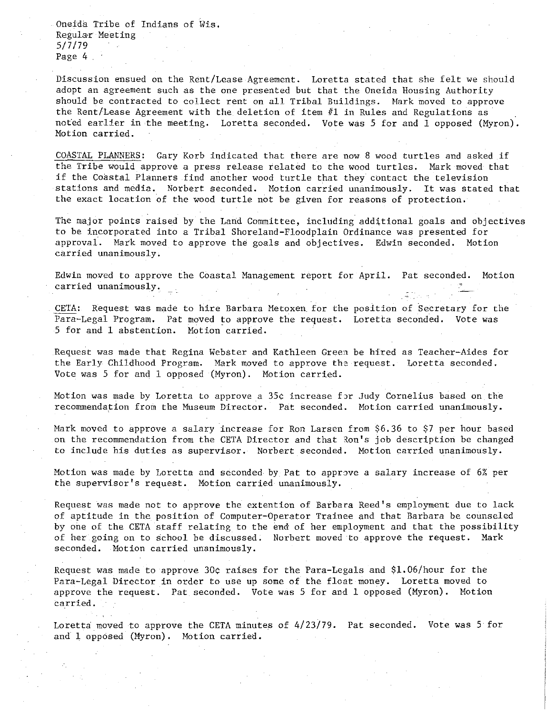Oneida Tribe of Indians of Wis. Regular Meeting 5/7/79 Page 4

Discussion ensued on the Rent/Lease Agreement. Loretta stated that she felt we should adopt an agreement such as the one presented but that the Oneida Housing Authority should be contracted to collect rent on all Tribal Buildings. Hark moved to approve the Rent/Lease Agreement with the deletion of item #1 in Rules and Regulations as not'ed earlier in the meeting. Loretta seconded. Vote was 5 for and 1 opposed (Myron). Motion carried.

COASTAL PLANNERS: Gary Korb indicated that there are now 8 wood turtles and asked if the Tribe would approve a press release related to the wood turtles. Mark moved that if the Coastal Planners find another wood turtle that they contact the television stations and media. Norbert seconded. Motion carried unanimously. It was stated that the exact location of the wood turtle not be given for reasons of protection.

The major points raised by the Land Committee, including additional goals and objectives to be incorporated into a Tribal Shoreland-Floodplain Ordinance was presented for approval. Mark moved to approve the goals and objectives. Edwin seconded. Motion **carried unanimously.** 

Edwin moved to approve the Coastal Management report for April. Pat seconded. Motion **carried unanimously.** 

CETA: Request was made to hire Barbara Metoxen for the position of Secretary for the Para-Legal Program. Pat moved to approve the request. Loretta seconded. Vote was 5 for and 1 abstention. Motion carried.

Request was made that Regina Webster and Kathleen Green be hired as Teacher-Aides for the Early Childhood Program. Mark moved to approve the request. Loretta seconded. Vote was 5 for and 1 opposed (Hyron). Motion carried.

Motion was made by Loretta to approve a 35¢ increase for Judy Cornelius based on the recommendation from the Museum Director. Pat seconded. Motion carried unanimously.

Hark moved to approve a salary increase for Ron Larsen from \$6.36 to \$7 per hour based on the recommendation from the CETA Director and that Ron's job description be changed to include his duties as supervisor. Norbert seconded. Motion carried unanimously.

Motion was made by Loretta and seconded by Pat to approve a salary increase of  $6\%$  per the supervisor's request. Motion carried unanimously.

Request was made not to approve the extention of Barbara Reed's employment due to lack of aptitude in the position of Computer-Operator Trainee and that Barbara be counseled by one of the CETA staff relating to the end of her employment and that the possibility of her going on to school be discussed. Norbert moved to approve the request. Mark seconded. Motion carried unanimously.

Request was made to approve 30¢ raises for the Para-Legals and \$1.06/hour for the Para-Legal Director in order to use up some of the float money. Loretta moved to approve the request. Pat seconded. Vote was 5 for and 1 opposed (Myron). Motion **carried.** 

Loretta moved to approve the CETA minutes of 4/23/79. Pat seconded. Vote was 5 for and 1 opposed (Myron). Motion carried.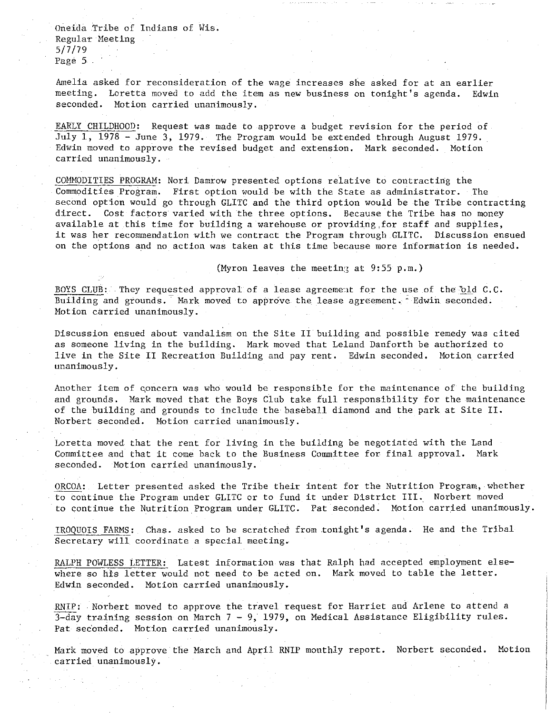Oneida Tribe of Indians of Wis. Regular Meeting 5/7/79 Page 5

Amelia asked for reconsideration of the wage increases she asked for at an earlier meeting. Loretta moved to add the item as new business on tonight's agenda. Edwin seconded. Motion carried unanimously.

EARLY CHILDHOOD: Request was made to approve a budget revision for the period of July 1, 1978 - June 3, 1979. The Program would be extended through August 1979. Edwin moved to approve the revised budget and extension. Mark seconded. Motion **carried unanimously.** 

COMMODITIES PROGRAM: Nori Damrow presented options relative to contracting the Commodities Program. First option would be with the State as administrator. The second option would go through GLITC and the third option would be the Tribe contracting direct. Cost factors varied with the three options. Because the Tribe has no money available at this time for building a warehouse or providing for staff and supplies, it was her recommendation with we contract the Program through GLITC. Discussion ensued on the options and no action was taken at this time because more information is needed.

(Myron leaves the meeting at  $9:55$  p.m.)

BOYS CLUB: They requested approval of a lease agreement for the use of the old  $C.C.$ Building and grounds. Mark moved to approve the lease agreement. Edwin seconded. **Motion carried unanimously.** 

Discussion ensued about vandalism on the Site II building and possible remedy was cited as someone living in the building. Mark moved that Leland Danforth be authorized to live in the Site II Recreation Building and pay rent. Edwin seconded. Motion carried **unanimously.** 

Another item of cpncern was who would be responsible for the maintenance of the building and grounds. Mark moved that the Boys Club take full responsibility for the maintenance of the building and grounds to include the baseball diamond and the park at Site II. Norbert seconded. Motion carried unanimously.

Loretta moved that the rent for living in the building be negotiated with the Land Committee and that it come back to the Business Committee for final approval. Mark seconded. Motion carried unanimously.

ORCOA: Letter presented asked the Tribe their intent for the Nutrition Program, whether to continue the Program under GLITC or to fund it under District III. Norbert moved to continue the Nutrition.Program under GLITC. Pat seconded. Motion carried unanimously.

IROQUOIS FARMS: Chas. asked to be scratched from tonight's agenda. He and the Tribal Secretary will coordinate a special meeting.

RALPH POWLESS LETTER: Latest information was that Ralph had accepted employment elsewhere so his letter would not need to be acted on. Mark moved to table the letter. Edwin seconded. Motion carried unanimously.

RNIP: . Norbert moved to approve the travel request for Harriet and Arlene to attend a  $\overline{3}$ -day training session on March 7 - 9, 1979, on Medical Assistance Eligibility rules. Pat seconded. Motion carried unanimously.

Mark moved to approve the March and April RNIP monthly report. Norbert seconded. Motion carried unanimously.